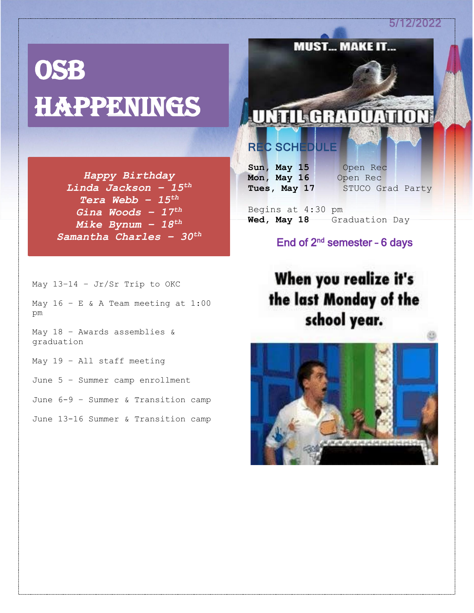5/12/2022

# **OSB HAPPENINGS**

*Happy Birthday Linda Jackson – 15th Tera Webb – 15th Gina Woods – 17th Mike Bynum – 18th Samantha Charles – 30th*

May 13–14 – Jr/Sr Trip to OKC May  $16 - E$  & A Team meeting at  $1:00$ pm

May 18 – Awards assemblies & graduation

May 19 – All staff meeting

June 5 – Summer camp enrollment

June 6-9 – Summer & Transition camp

June 13-16 Summer & Transition camp

# **UNTIL GRADUATION**

**MUST... MAKE IT.** 

## REC SCHEDULE

**Sun, May 15** Open Rec **Mon, May 16** Open Rec

Tues, May 17 STUCO Grad Party

Begins at 4:30 pm **Wed, May 18** Graduation Day

### End of  $2^{nd}$  semester - 6 days

When you realize it's the last Monday of the school year.